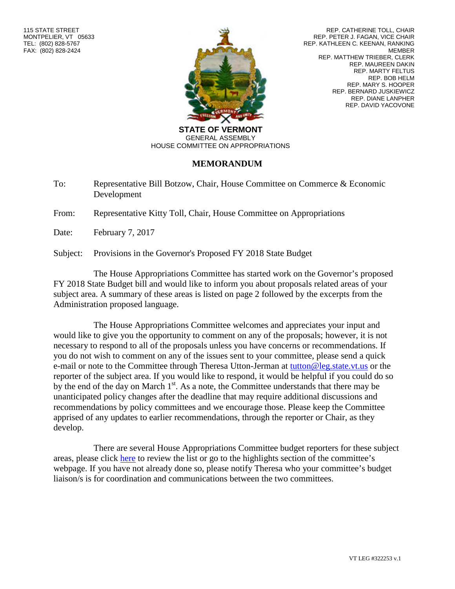

REP. CATHERINE TOLL, CHAIR REP. PETER J. FAGAN, VICE CHAIR REP. KATHLEEN C. KEENAN, RANKING MEMBER REP. MATTHEW TRIEBER, CLERK REP. MAUREEN DAKIN REP. MARTY FELTUS REP. BOB HELM REP. MARY S. HOOPER REP. BERNARD JUSKIEWICZ REP. DIANE LANPHER REP. DAVID YACOVONE

**STATE OF VERMONT** GENERAL ASSEMBLY HOUSE COMMITTEE ON APPROPRIATIONS

## **MEMORANDUM**

To: Representative Bill Botzow, Chair, House Committee on Commerce & Economic Development

From: Representative Kitty Toll, Chair, House Committee on Appropriations

Date: February 7, 2017

Subject: Provisions in the Governor's Proposed FY 2018 State Budget

The House Appropriations Committee has started work on the Governor's proposed FY 2018 State Budget bill and would like to inform you about proposals related areas of your subject area. A summary of these areas is listed on page 2 followed by the excerpts from the Administration proposed language.

The House Appropriations Committee welcomes and appreciates your input and would like to give you the opportunity to comment on any of the proposals; however, it is not necessary to respond to all of the proposals unless you have concerns or recommendations. If you do not wish to comment on any of the issues sent to your committee, please send a quick e-mail or note to the Committee through Theresa Utton-Jerman at [tutton@leg.state.vt.us](mailto:tutton@leg.state.vt.us) or the reporter of the subject area. If you would like to respond, it would be helpful if you could do so by the end of the day on March  $1<sup>st</sup>$ . As a note, the Committee understands that there may be unanticipated policy changes after the deadline that may require additional discussions and recommendations by policy committees and we encourage those. Please keep the Committee apprised of any updates to earlier recommendations, through the reporter or Chair, as they develop.

There are several House Appropriations Committee budget reporters for these subject areas, please click [here](http://legislature.vermont.gov/assets/Documents/2018/WorkGroups/House Appropriations/Highlights/2017-2018 Committee Budget Assignments.pdf) to review the list or go to the highlights section of the committee's webpage. If you have not already done so, please notify Theresa who your committee's budget liaison/s is for coordination and communications between the two committees.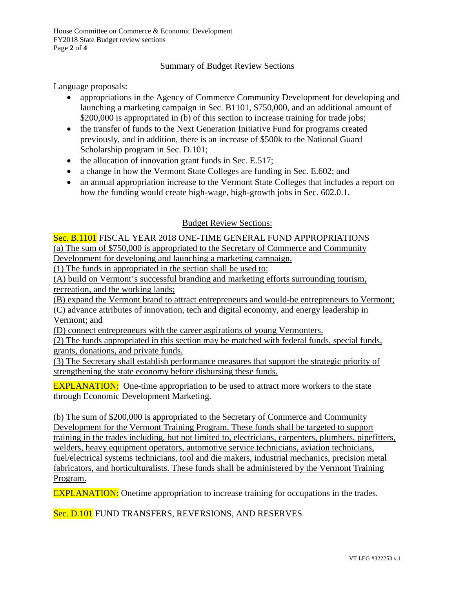House Committee on Commerce & Economic Development FY2018 State Budget review sections Page **2** of **4**

## Summary of Budget Review Sections

Language proposals:

- appropriations in the Agency of Commerce Community Development for developing and launching a marketing campaign in Sec. B1101, \$750,000, and an additional amount of \$200,000 is appropriated in (b) of this section to increase training for trade jobs;
- the transfer of funds to the Next Generation Initiative Fund for programs created previously, and in addition, there is an increase of \$500k to the National Guard Scholarship program in Sec. D.101;
- $\bullet$  the allocation of innovation grant funds in Sec. E.517;
- a change in how the Vermont State Colleges are funding in Sec. E.602; and
- an annual appropriation increase to the Vermont State Colleges that includes a report on how the funding would create high-wage, high-growth jobs in Sec. 602.0.1.

## Budget Review Sections:

Sec. B.1101 FISCAL YEAR 2018 ONE-TIME GENERAL FUND APPROPRIATIONS (a) The sum of \$750,000 is appropriated to the Secretary of Commerce and Community Development for developing and launching a marketing campaign.

(1) The funds in appropriated in the section shall be used to:

(A) build on Vermont's successful branding and marketing efforts surrounding tourism, recreation, and the working lands;

(B) expand the Vermont brand to attract entrepreneurs and would-be entrepreneurs to Vermont;

(C) advance attributes of innovation, tech and digital economy, and energy leadership in Vermont; and

(D) connect entrepreneurs with the career aspirations of young Vermonters.

(2) The funds appropriated in this section may be matched with federal funds, special funds, grants, donations, and private funds.

(3) The Secretary shall establish performance measures that support the strategic priority of strengthening the state economy before disbursing these funds.

**EXPLANATION:** One-time appropriation to be used to attract more workers to the state through Economic Development Marketing.

(b) The sum of \$200,000 is appropriated to the Secretary of Commerce and Community Development for the Vermont Training Program. These funds shall be targeted to support training in the trades including, but not limited to, electricians, carpenters, plumbers, pipefitters, welders, heavy equipment operators, automotive service technicians, aviation technicians, fuel/electrical systems technicians, tool and die makers, industrial mechanics, precision metal fabricators, and horticulturalists. These funds shall be administered by the Vermont Training Program.

EXPLANATION: Onetime appropriation to increase training for occupations in the trades.

Sec. D.101 FUND TRANSFERS, REVERSIONS, AND RESERVES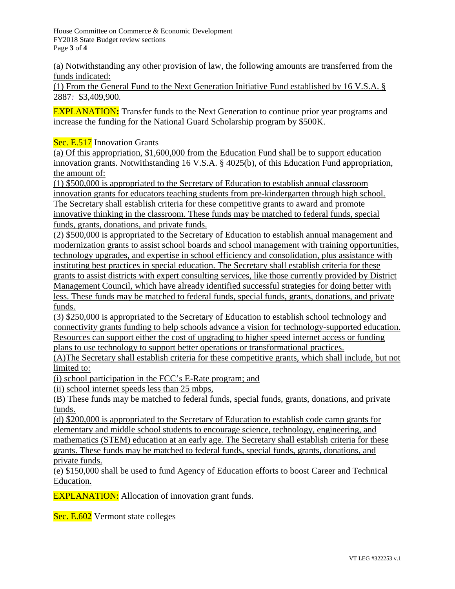House Committee on Commerce & Economic Development FY2018 State Budget review sections Page **3** of **4**

(a) Notwithstanding any other provision of law, the following amounts are transferred from the funds indicated:

(1) From the General Fund to the Next Generation Initiative Fund established by 16 V.S.A. § 2887*:* \$3,409,900*.*

EXPLANATION**:** Transfer funds to the Next Generation to continue prior year programs and increase the funding for the National Guard Scholarship program by \$500K.

Sec. E.517 Innovation Grants

(a) Of this appropriation, \$1,600,000 from the Education Fund shall be to support education innovation grants. Notwithstanding 16 V.S.A. § 4025(b), of this Education Fund appropriation, the amount of:

(1) \$500,000 is appropriated to the Secretary of Education to establish annual classroom innovation grants for educators teaching students from pre-kindergarten through high school. The Secretary shall establish criteria for these competitive grants to award and promote innovative thinking in the classroom. These funds may be matched to federal funds, special funds, grants, donations, and private funds.

(2) \$500,000 is appropriated to the Secretary of Education to establish annual management and modernization grants to assist school boards and school management with training opportunities, technology upgrades, and expertise in school efficiency and consolidation, plus assistance with instituting best practices in special education. The Secretary shall establish criteria for these grants to assist districts with expert consulting services, like those currently provided by District Management Council, which have already identified successful strategies for doing better with less. These funds may be matched to federal funds, special funds, grants, donations, and private funds.

(3) \$250,000 is appropriated to the Secretary of Education to establish school technology and connectivity grants funding to help schools advance a vision for technology-supported education. Resources can support either the cost of upgrading to higher speed internet access or funding plans to use technology to support better operations or transformational practices.

(A)The Secretary shall establish criteria for these competitive grants, which shall include, but not limited to:

(i) school participation in the FCC's E-Rate program; and

(ii) school internet speeds less than 25 mbps,

(B) These funds may be matched to federal funds, special funds, grants, donations, and private funds.

(d) \$200,000 is appropriated to the Secretary of Education to establish code camp grants for elementary and middle school students to encourage science, technology, engineering, and mathematics (STEM) education at an early age. The Secretary shall establish criteria for these grants. These funds may be matched to federal funds, special funds, grants, donations, and private funds.

(e) \$150,000 shall be used to fund Agency of Education efforts to boost Career and Technical Education.

**EXPLANATION:** Allocation of innovation grant funds.

Sec. E.602 Vermont state colleges